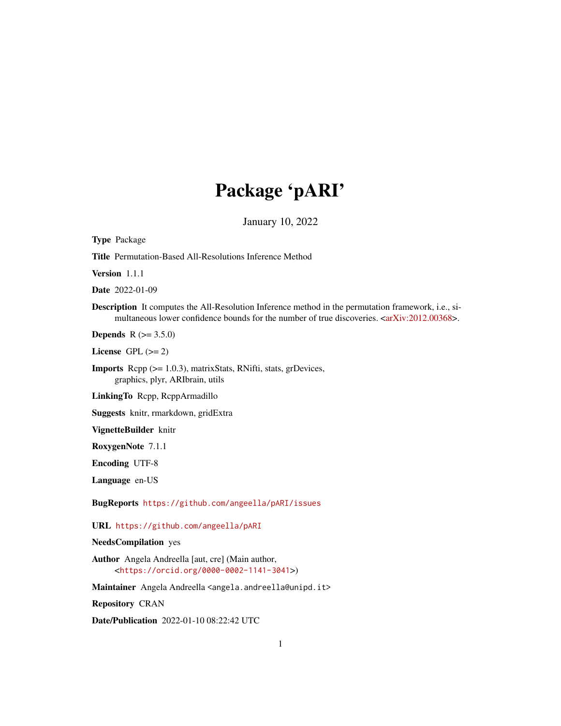# Package 'pARI'

January 10, 2022

<span id="page-0-0"></span>Type Package Title Permutation-Based All-Resolutions Inference Method Version 1.1.1 Date 2022-01-09 Description It computes the All-Resolution Inference method in the permutation framework, i.e., si-multaneous lower confidence bounds for the number of true discoveries. [<arXiv:2012.00368>](https://arxiv.org/abs/2012.00368). **Depends** R  $(>= 3.5.0)$ License GPL  $(>= 2)$ Imports Rcpp (>= 1.0.3), matrixStats, RNifti, stats, grDevices, graphics, plyr, ARIbrain, utils LinkingTo Rcpp, RcppArmadillo Suggests knitr, rmarkdown, gridExtra VignetteBuilder knitr RoxygenNote 7.1.1 Encoding UTF-8 Language en-US BugReports <https://github.com/angeella/pARI/issues> URL <https://github.com/angeella/pARI> NeedsCompilation yes Author Angela Andreella [aut, cre] (Main author, <<https://orcid.org/0000-0002-1141-3041>>)

Maintainer Angela Andreella <angela.andreella@unipd.it>

Repository CRAN

Date/Publication 2022-01-10 08:22:42 UTC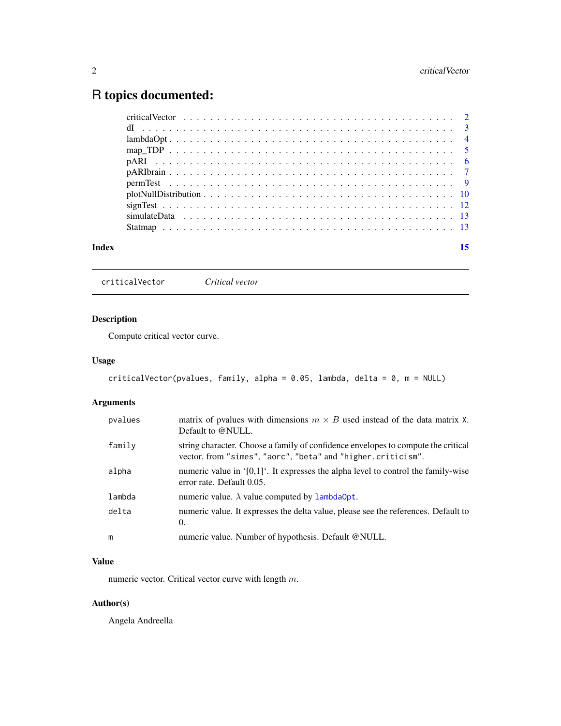# <span id="page-1-0"></span>R topics documented:

| Index | 15 |
|-------|----|

<span id="page-1-1"></span>criticalVector *Critical vector*

# Description

Compute critical vector curve.

# Usage

```
criticalVector(pvalues, family, alpha = 0.05, lambda, delta = 0, m = NULL)
```
# Arguments

| pvalues | matrix of pvalues with dimensions $m \times B$ used instead of the data matrix X.<br>Default to @NULL.                                            |
|---------|---------------------------------------------------------------------------------------------------------------------------------------------------|
| family  | string character. Choose a family of confidence envelopes to compute the critical<br>vector. from "simes", "aorc", "beta" and "higher.criticism". |
| alpha   | numeric value in $[0,1]$ . It expresses the alpha level to control the family-wise<br>error rate. Default 0.05.                                   |
| lambda  | numeric value. $\lambda$ value computed by lambda0pt.                                                                                             |
| delta   | numeric value. It expresses the delta value, please see the references. Default to<br>$\theta$ .                                                  |
| m       | numeric value. Number of hypothesis. Default @NULL.                                                                                               |

#### Value

numeric vector. Critical vector curve with length m.

# Author(s)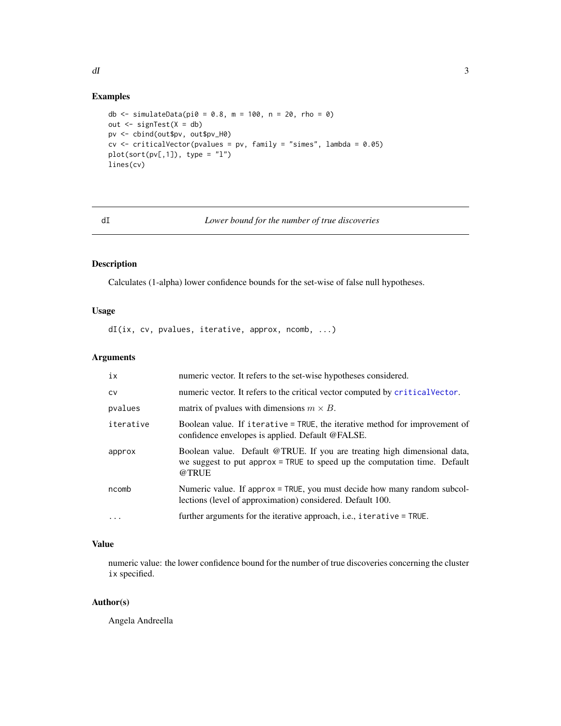#### <span id="page-2-0"></span> $dI$  3

# Examples

```
db <- simulateData(pi0 = 0.8, m = 100, n = 20, rho = 0)
out <- signTest(X = db)
pv <- cbind(out$pv, out$pv_H0)
cv \le criticalVector(pvalues = pv, family = "simes", lambda = 0.05)
plot(sort(pv[,1]), type = "1")lines(cv)
```
#### dI *Lower bound for the number of true discoveries*

# Description

Calculates (1-alpha) lower confidence bounds for the set-wise of false null hypotheses.

# Usage

dI(ix, cv, pvalues, iterative, approx, ncomb, ...)

# Arguments

| ix         | numeric vector. It refers to the set-wise hypotheses considered.                                                                                               |
|------------|----------------------------------------------------------------------------------------------------------------------------------------------------------------|
| <b>CV</b>  | numeric vector. It refers to the critical vector computed by critical vector.                                                                                  |
| pvalues    | matrix of pvalues with dimensions $m \times B$ .                                                                                                               |
| iterative  | Boolean value. If iterative = TRUE, the iterative method for improvement of<br>confidence envelopes is applied. Default @FALSE.                                |
| approx     | Boolean value. Default @TRUE. If you are treating high dimensional data,<br>we suggest to put approx = TRUE to speed up the computation time. Default<br>@TRUE |
| ncomb      | Numeric value. If approx = TRUE, you must decide how many random subcol-<br>lections (level of approximation) considered. Default 100.                         |
| $\ddots$ . | further arguments for the iterative approach, i.e., iterative = TRUE.                                                                                          |

# Value

numeric value: the lower confidence bound for the number of true discoveries concerning the cluster ix specified.

#### Author(s)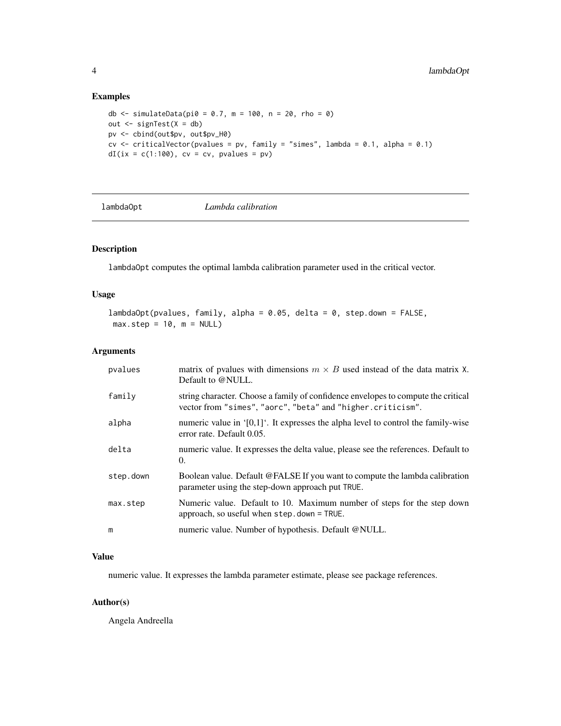# Examples

```
db <- simulateData(pi0 = 0.7, m = 100, n = 20, rho = 0)
out <- signTest(X = db)
pv <- cbind(out$pv, out$pv_H0)
cv \le criticalVector(pvalues = pv, family = "simes", lambda = 0.1, alpha = 0.1)
dI(ix = c(1:100), cv = cv, pvalues = pv)
```
<span id="page-3-1"></span>lambdaOpt *Lambda calibration*

# Description

lambdaOpt computes the optimal lambda calibration parameter used in the critical vector.

#### Usage

```
lambdaOpt(pvalues, family, alpha = 0.05, delta = 0, step.down = FALSE,
max.step = 10, m = NULL
```
#### Arguments

| pvalues   | matrix of pvalues with dimensions $m \times B$ used instead of the data matrix X.<br>Default to @NULL.                                           |
|-----------|--------------------------------------------------------------------------------------------------------------------------------------------------|
| family    | string character. Choose a family of confidence envelopes to compute the critical<br>vector from "simes", "aorc", "beta" and "higher.criticism". |
| alpha     | numeric value in ' $[0,1]$ '. It expresses the alpha level to control the family-wise<br>error rate. Default 0.05.                               |
| delta     | numeric value. It expresses the delta value, please see the references. Default to<br>0.                                                         |
| step.down | Boolean value. Default @FALSE If you want to compute the lambda calibration<br>parameter using the step-down approach put TRUE.                  |
| max.step  | Numeric value. Default to 10. Maximum number of steps for the step down<br>approach, so useful when step.down = TRUE.                            |
| m         | numeric value. Number of hypothesis. Default @NULL.                                                                                              |

#### Value

numeric value. It expresses the lambda parameter estimate, please see package references.

#### Author(s)

<span id="page-3-0"></span>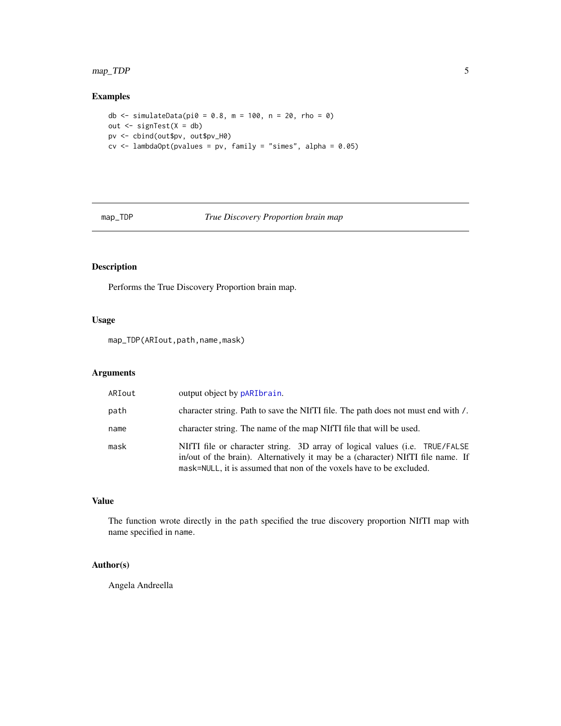# <span id="page-4-0"></span>map\_TDP 5

# Examples

```
db <- simulateData(pi\theta = 0.8, m = 100, n = 20, rho = 0)
out <- signTest(X = db)
pv <- cbind(out$pv, out$pv_H0)
cv \leq - lambdaOpt(pvalues = pv, family = "simes", alpha = 0.05)
```
#### map\_TDP *True Discovery Proportion brain map*

# Description

Performs the True Discovery Proportion brain map.

# Usage

map\_TDP(ARIout,path,name,mask)

# Arguments

| ARIout | output object by pARIbrain.                                                                                                                                                                                                            |
|--------|----------------------------------------------------------------------------------------------------------------------------------------------------------------------------------------------------------------------------------------|
| path   | character string. Path to save the NIfTI file. The path does not must end with /.                                                                                                                                                      |
| name   | character string. The name of the map NIfTI file that will be used.                                                                                                                                                                    |
| mask   | NIfTI file or character string. 3D array of logical values (i.e. TRUE/FALSE<br>in/out of the brain). Alternatively it may be a (character) NIfTI file name. If<br>mask=NULL, it is assumed that non of the voxels have to be excluded. |

### Value

The function wrote directly in the path specified the true discovery proportion NIfTI map with name specified in name.

# Author(s)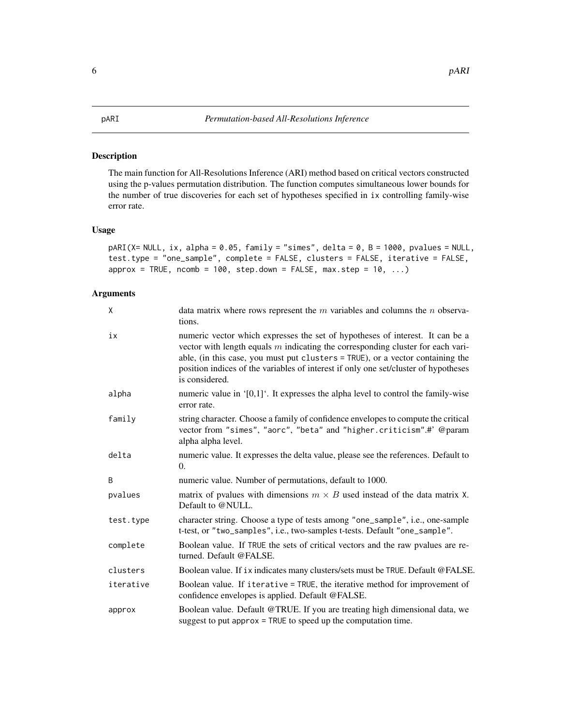# <span id="page-5-0"></span>Description

The main function for All-Resolutions Inference (ARI) method based on critical vectors constructed using the p-values permutation distribution. The function computes simultaneous lower bounds for the number of true discoveries for each set of hypotheses specified in ix controlling family-wise error rate.

#### Usage

pARI(X= NULL, ix, alpha = 0.05, family = "simes", delta = 0, B = 1000, pvalues = NULL, test.type = "one\_sample", complete = FALSE, clusters = FALSE, iterative = FALSE,  $approx = TRUE$ ,  $ncomb = 100$ ,  $step.down = FALSE$ ,  $max.setep = 10$ , ...)

# Arguments

| X         | data matrix where rows represent the $m$ variables and columns the $n$ observa-<br>tions.                                                                                                                                                                                                                                                                     |
|-----------|---------------------------------------------------------------------------------------------------------------------------------------------------------------------------------------------------------------------------------------------------------------------------------------------------------------------------------------------------------------|
| iх        | numeric vector which expresses the set of hypotheses of interest. It can be a<br>vector with length equals $m$ indicating the corresponding cluster for each vari-<br>able, (in this case, you must put clusters = TRUE), or a vector containing the<br>position indices of the variables of interest if only one set/cluster of hypotheses<br>is considered. |
| alpha     | numeric value in $[0,1]$ . It expresses the alpha level to control the family-wise<br>error rate.                                                                                                                                                                                                                                                             |
| family    | string character. Choose a family of confidence envelopes to compute the critical<br>vector from "simes", "aorc", "beta" and "higher.criticism".#' @param<br>alpha alpha level.                                                                                                                                                                               |
| delta     | numeric value. It expresses the delta value, please see the references. Default to<br>$\Omega$ .                                                                                                                                                                                                                                                              |
| B         | numeric value. Number of permutations, default to 1000.                                                                                                                                                                                                                                                                                                       |
| pvalues   | matrix of pvalues with dimensions $m \times B$ used instead of the data matrix X.<br>Default to @NULL.                                                                                                                                                                                                                                                        |
| test.type | character string. Choose a type of tests among "one_sample", i.e., one-sample<br>t-test, or "two_samples", i.e., two-samples t-tests. Default "one_sample".                                                                                                                                                                                                   |
| complete  | Boolean value. If TRUE the sets of critical vectors and the raw pvalues are re-<br>turned. Default @FALSE.                                                                                                                                                                                                                                                    |
| clusters  | Boolean value. If ix indicates many clusters/sets must be TRUE. Default @FALSE.                                                                                                                                                                                                                                                                               |
| iterative | Boolean value. If iterative = TRUE, the iterative method for improvement of<br>confidence envelopes is applied. Default @FALSE.                                                                                                                                                                                                                               |
| approx    | Boolean value. Default @TRUE. If you are treating high dimensional data, we<br>suggest to put approx = TRUE to speed up the computation time.                                                                                                                                                                                                                 |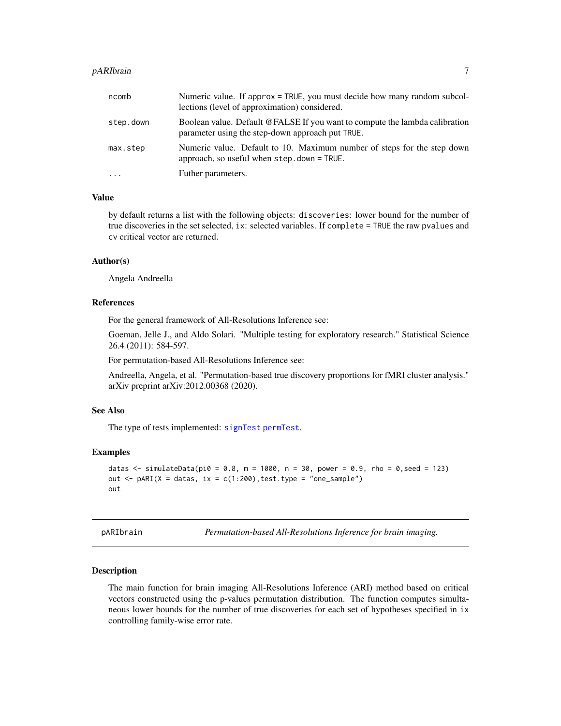#### <span id="page-6-0"></span>pARIbrain 7

| ncomb     | Numeric value. If approx = TRUE, you must decide how many random subcol-<br>lections (level of approximation) considered.       |
|-----------|---------------------------------------------------------------------------------------------------------------------------------|
| step.down | Boolean value. Default @FALSE If you want to compute the lambda calibration<br>parameter using the step-down approach put TRUE. |
| max.step  | Numeric value. Default to 10. Maximum number of steps for the step down<br>approach, so useful when $step$ . down = TRUE.       |
| $\cdots$  | Futher parameters.                                                                                                              |

# Value

by default returns a list with the following objects: discoveries: lower bound for the number of true discoveries in the set selected, ix: selected variables. If complete = TRUE the raw pvalues and cv critical vector are returned.

#### Author(s)

Angela Andreella

# References

For the general framework of All-Resolutions Inference see:

Goeman, Jelle J., and Aldo Solari. "Multiple testing for exploratory research." Statistical Science 26.4 (2011): 584-597.

For permutation-based All-Resolutions Inference see:

Andreella, Angela, et al. "Permutation-based true discovery proportions for fMRI cluster analysis." arXiv preprint arXiv:2012.00368 (2020).

# See Also

The type of tests implemented: [signTest](#page-11-1) [permTest](#page-8-1).

#### Examples

```
datas <- simulateData(pi0 = 0.8, m = 1000, n = 30, power = 0.9, rho = 0, seed = 123)
out \leq pARI(X = datas, ix = c(1:200), test.type = "one_sample")
out
```
<span id="page-6-1"></span>pARIbrain *Permutation-based All-Resolutions Inference for brain imaging.*

#### Description

The main function for brain imaging All-Resolutions Inference (ARI) method based on critical vectors constructed using the p-values permutation distribution. The function computes simultaneous lower bounds for the number of true discoveries for each set of hypotheses specified in ix controlling family-wise error rate.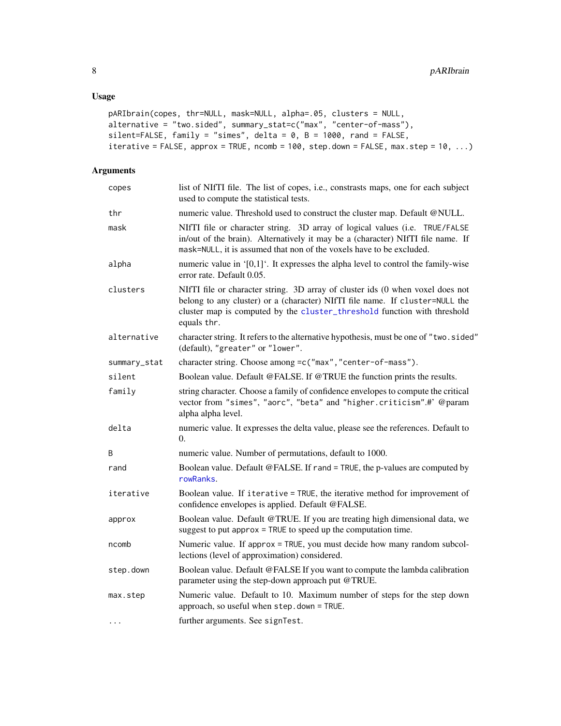```
pARIbrain(copes, thr=NULL, mask=NULL, alpha=.05, clusters = NULL,
alternative = "two.sided", summary_stat=c("max", "center-of-mass"),
silent=FALSE, family = "simes", delta = 0, B = 1000, rand = FALSE,
iterative = FALSE, approx = TRUE, ncomb = 100, step.down = FALSE, max.step = 10, ...)
```

| copes        | list of NIfTI file. The list of copes, i.e., constrasts maps, one for each subject<br>used to compute the statistical tests.                                                                                                                              |
|--------------|-----------------------------------------------------------------------------------------------------------------------------------------------------------------------------------------------------------------------------------------------------------|
| thr          | numeric value. Threshold used to construct the cluster map. Default @NULL.                                                                                                                                                                                |
| mask         | NIfTI file or character string. 3D array of logical values (i.e. TRUE/FALSE<br>in/out of the brain). Alternatively it may be a (character) NIfTI file name. If<br>mask=NULL, it is assumed that non of the voxels have to be excluded.                    |
| alpha        | numeric value in $[0,1]$ . It expresses the alpha level to control the family-wise<br>error rate. Default 0.05.                                                                                                                                           |
| clusters     | NIfTI file or character string. 3D array of cluster ids (0 when voxel does not<br>belong to any cluster) or a (character) NIfTI file name. If cluster=NULL the<br>cluster map is computed by the cluster_threshold function with threshold<br>equals thr. |
| alternative  | character string. It refers to the alternative hypothesis, must be one of "two.sided"<br>(default), "greater" or "lower".                                                                                                                                 |
| summary_stat | character string. Choose among =c("max", "center-of-mass").                                                                                                                                                                                               |
| silent       | Boolean value. Default @FALSE. If @TRUE the function prints the results.                                                                                                                                                                                  |
| family       | string character. Choose a family of confidence envelopes to compute the critical<br>vector from "simes", "aorc", "beta" and "higher.criticism".#' @param<br>alpha alpha level.                                                                           |
| delta        | numeric value. It expresses the delta value, please see the references. Default to<br>0.                                                                                                                                                                  |
| B            | numeric value. Number of permutations, default to 1000.                                                                                                                                                                                                   |
| rand         | Boolean value. Default @FALSE. If rand = TRUE, the p-values are computed by<br>rowRanks.                                                                                                                                                                  |
| iterative    | Boolean value. If iterative = TRUE, the iterative method for improvement of<br>confidence envelopes is applied. Default @FALSE.                                                                                                                           |
| approx       | Boolean value. Default @TRUE. If you are treating high dimensional data, we<br>suggest to put approx $=$ TRUE to speed up the computation time.                                                                                                           |
| ncomb        | Numeric value. If approx = TRUE, you must decide how many random subcol-<br>lections (level of approximation) considered.                                                                                                                                 |
| step.down    | Boolean value. Default @FALSE If you want to compute the lambda calibration<br>parameter using the step-down approach put @TRUE.                                                                                                                          |
| max.step     | Numeric value. Default to 10. Maximum number of steps for the step down<br>approach, so useful when step.down = TRUE.                                                                                                                                     |
| $\cdots$     | further arguments. See signTest.                                                                                                                                                                                                                          |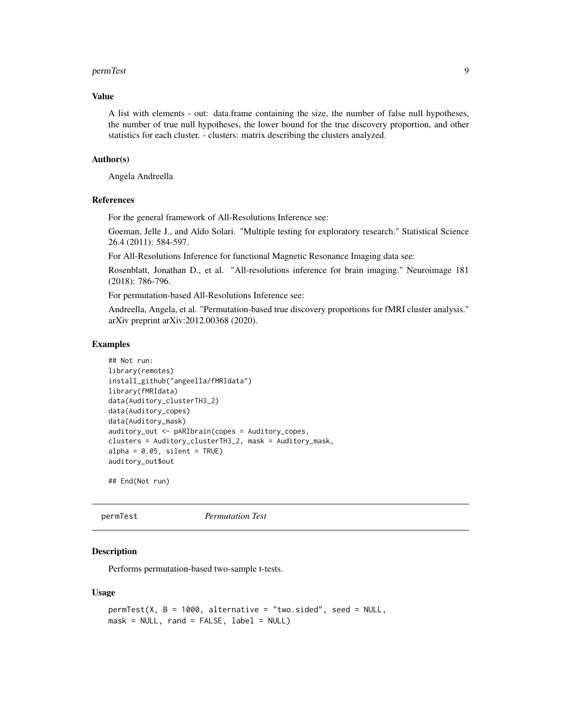#### <span id="page-8-0"></span>permTest 9

#### Value

A list with elements - out: data.frame containing the size, the number of false null hypotheses, the number of true null hypotheses, the lower bound for the true discovery proportion, and other statistics for each cluster. - clusters: matrix describing the clusters analyzed.

#### Author(s)

Angela Andreella

#### **References**

For the general framework of All-Resolutions Inference see:

Goeman, Jelle J., and Aldo Solari. "Multiple testing for exploratory research." Statistical Science 26.4 (2011): 584-597.

For All-Resolutions Inference for functional Magnetic Resonance Imaging data see:

Rosenblatt, Jonathan D., et al. "All-resolutions inference for brain imaging." Neuroimage 181 (2018): 786-796.

For permutation-based All-Resolutions Inference see:

Andreella, Angela, et al. "Permutation-based true discovery proportions for fMRI cluster analysis." arXiv preprint arXiv:2012.00368 (2020).

#### Examples

```
## Not run:
library(remotes)
install_github("angeella/fMRIdata")
library(fMRIdata)
data(Auditory_clusterTH3_2)
data(Auditory_copes)
data(Auditory_mask)
auditory_out <- pARIbrain(copes = Auditory_copes,
clusters = Auditory_clusterTH3_2, mask = Auditory_mask,
alpha = 0.05, silent = TRUE)
auditory_out$out
```
## End(Not run)

<span id="page-8-1"></span>permTest *Permutation Test*

#### Description

Performs permutation-based two-sample t-tests.

#### Usage

```
permTest(X, B = 1000, alternative = "two.sided", seed = NULL,mask = NULL, rand = FALSE, label = NULL)
```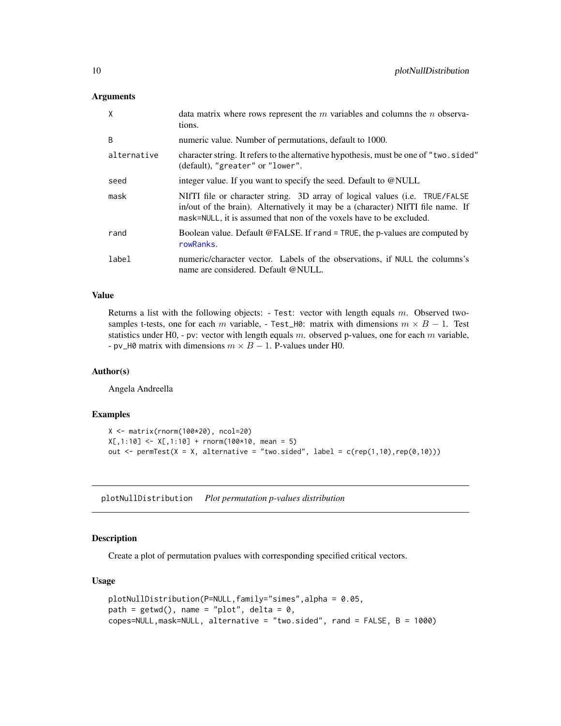<span id="page-9-0"></span>

| $\mathsf{X}$ | data matrix where rows represent the $m$ variables and columns the $n$ observa-<br>tions.                                                                                                                                              |
|--------------|----------------------------------------------------------------------------------------------------------------------------------------------------------------------------------------------------------------------------------------|
| B            | numeric value. Number of permutations, default to 1000.                                                                                                                                                                                |
| alternative  | character string. It refers to the alternative hypothesis, must be one of "two.sided"<br>(default), "greater" or "lower".                                                                                                              |
| seed         | integer value. If you want to specify the seed. Default to @NULL                                                                                                                                                                       |
| mask         | NIFTI file or character string. 3D array of logical values (i.e. TRUE/FALSE<br>in/out of the brain). Alternatively it may be a (character) NIfTI file name. If<br>mask=NULL, it is assumed that non of the voxels have to be excluded. |
| rand         | Boolean value. Default @FALSE. If rand = TRUE, the p-values are computed by<br>rowRanks.                                                                                                                                               |
| label        | numeric/character vector. Labels of the observations, if NULL the columns's<br>name are considered. Default @NULL.                                                                                                                     |

#### Value

Returns a list with the following objects: - Test: vector with length equals m. Observed twosamples t-tests, one for each m variable, - Test\_H0: matrix with dimensions  $m \times B - 1$ . Test statistics under H0, - pv: vector with length equals  $m$ . observed p-values, one for each  $m$  variable, - pv\_H0 matrix with dimensions  $m \times B - 1$ . P-values under H0.

#### Author(s)

Angela Andreella

# Examples

```
X <- matrix(rnorm(100*20), ncol=20)
X[, 1:10] <- X[, 1:10] + rnorm(100*10, mean = 5)
out \leq permTest(X = X, alternative = "two.sided", label = c(rep(1,10),rep(0,10)))
```
plotNullDistribution *Plot permutation p-values distribution*

#### Description

Create a plot of permutation pvalues with corresponding specified critical vectors.

### Usage

```
plotNullDistribution(P=NULL,family="simes",alpha = 0.05,
path = getwd(), name = "plot", delta = 0,
copes=NULL,mask=NULL, alternative = "two.sided", rand = FALSE, B = 1000)
```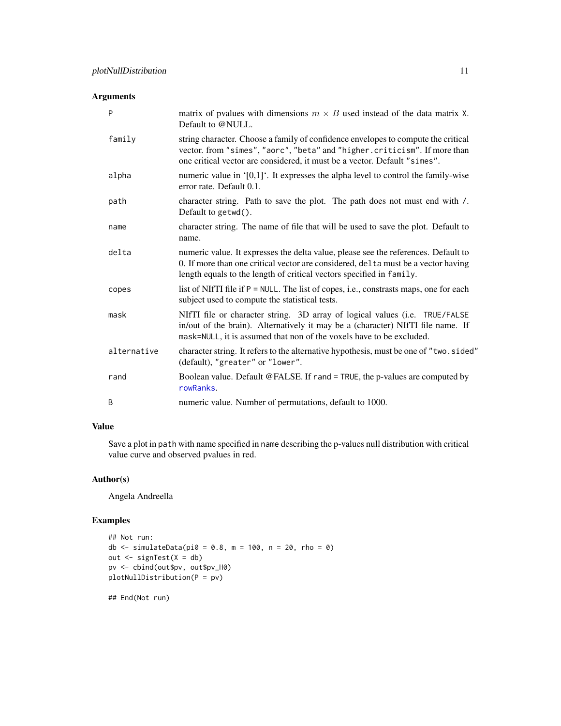| P           | matrix of pvalues with dimensions $m \times B$ used instead of the data matrix X.<br>Default to @NULL.                                                                                                                                          |
|-------------|-------------------------------------------------------------------------------------------------------------------------------------------------------------------------------------------------------------------------------------------------|
| family      | string character. Choose a family of confidence envelopes to compute the critical<br>vector. from "simes", "aorc", "beta" and "higher.criticism". If more than<br>one critical vector are considered, it must be a vector. Default "simes".     |
| alpha       | numeric value in $[0,1]$ . It expresses the alpha level to control the family-wise<br>error rate. Default 0.1.                                                                                                                                  |
| path        | character string. Path to save the plot. The path does not must end with /.<br>Default to $getwd()$ .                                                                                                                                           |
| name        | character string. The name of file that will be used to save the plot. Default to<br>name.                                                                                                                                                      |
| delta       | numeric value. It expresses the delta value, please see the references. Default to<br>0. If more than one critical vector are considered, delta must be a vector having<br>length equals to the length of critical vectors specified in family. |
| copes       | list of NIfTI file if P = NULL. The list of copes, i.e., constrasts maps, one for each<br>subject used to compute the statistical tests.                                                                                                        |
| mask        | NIfTI file or character string. 3D array of logical values (i.e. TRUE/FALSE<br>in/out of the brain). Alternatively it may be a (character) NIfTI file name. If<br>mask=NULL, it is assumed that non of the voxels have to be excluded.          |
| alternative | character string. It refers to the alternative hypothesis, must be one of "two.sided"<br>(default), "greater" or "lower".                                                                                                                       |
| rand        | Boolean value. Default @FALSE. If rand = TRUE, the p-values are computed by<br>rowRanks.                                                                                                                                                        |
| B           | numeric value. Number of permutations, default to 1000.                                                                                                                                                                                         |

# Value

Save a plot in path with name specified in name describing the p-values null distribution with critical value curve and observed pvalues in red.

# Author(s)

Angela Andreella

# Examples

```
## Not run:
db <- simulateData(pi0 = 0.8, m = 100, n = 20, rho = 0)
out <- signTest(X = db)
pv <- cbind(out$pv, out$pv_H0)
plotNullDistribution(P = pv)
```
## End(Not run)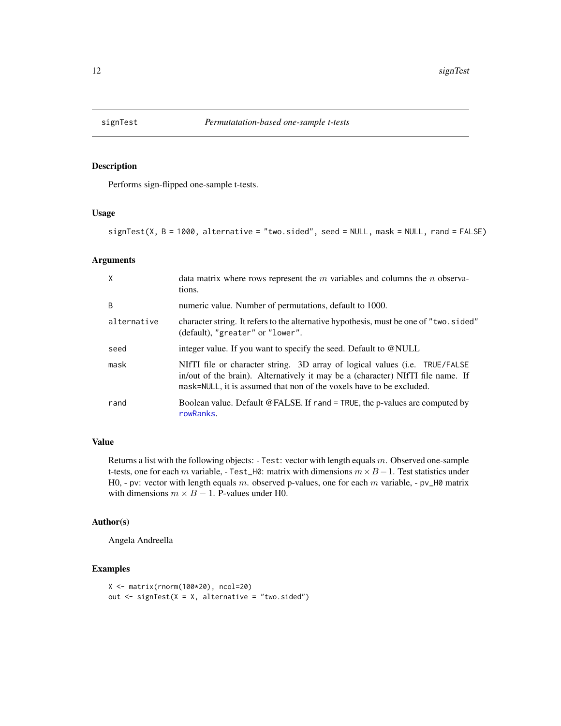<span id="page-11-1"></span><span id="page-11-0"></span>

# Description

Performs sign-flipped one-sample t-tests.

#### Usage

```
signTest(X, B = 1000, alternative = "two.sided", seed = NULL, mask = NULL, rand = FALSE)
```
### Arguments

| X           | data matrix where rows represent the $m$ variables and columns the $n$ observa-<br>tions.                                                                                                                                              |
|-------------|----------------------------------------------------------------------------------------------------------------------------------------------------------------------------------------------------------------------------------------|
| B           | numeric value. Number of permutations, default to 1000.                                                                                                                                                                                |
| alternative | character string. It refers to the alternative hypothesis, must be one of "two.sided"<br>(default), "greater" or "lower".                                                                                                              |
| seed        | integer value. If you want to specify the seed. Default to @NULL                                                                                                                                                                       |
| mask        | NIFTI file or character string. 3D array of logical values (i.e. TRUE/FALSE<br>in/out of the brain). Alternatively it may be a (character) NIfTI file name. If<br>mask=NULL, it is assumed that non of the voxels have to be excluded. |
| rand        | Boolean value. Default @FALSE. If rand = TRUE, the p-values are computed by<br>rowRanks.                                                                                                                                               |

# Value

Returns a list with the following objects: - Test: vector with length equals  $m$ . Observed one-sample t-tests, one for each m variable, - Test\_H0: matrix with dimensions  $m \times B - 1$ . Test statistics under H0, - pv: vector with length equals m. observed p-values, one for each m variable, - pv\_H0 matrix with dimensions  $m \times B - 1$ . P-values under H0.

# Author(s)

Angela Andreella

# Examples

```
X <- matrix(rnorm(100*20), ncol=20)
out \leq signTest(X = X, alternative = "two.sided")
```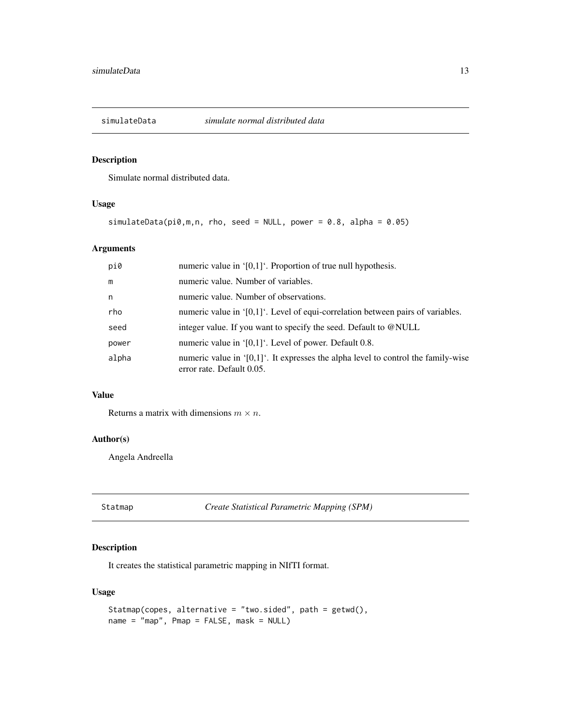<span id="page-12-0"></span>

# Description

Simulate normal distributed data.

### Usage

```
simulateData(pi0,m,n, rho, seed = NULL, power = 0.8, alpha = 0.05)
```
# Arguments

| pi0   | numeric value in $[0,1]$ . Proportion of true null hypothesis.                                                     |
|-------|--------------------------------------------------------------------------------------------------------------------|
| m     | numeric value. Number of variables.                                                                                |
| n     | numeric value. Number of observations.                                                                             |
| rho   | numeric value in $[0,1]$ . Level of equi-correlation between pairs of variables.                                   |
| seed  | integer value. If you want to specify the seed. Default to @NULL                                                   |
| power | numeric value in $[0,1]$ . Level of power. Default 0.8.                                                            |
| alpha | numeric value in ' $[0,1]$ '. It expresses the alpha level to control the family-wise<br>error rate. Default 0.05. |

# Value

Returns a matrix with dimensions  $m \times n$ .

# Author(s)

Angela Andreella

Statmap *Create Statistical Parametric Mapping (SPM)*

# Description

It creates the statistical parametric mapping in NIfTI format.

# Usage

```
Statmap(copes, alternative = "two.sided", path = getwd(),
name = "map", Pmap = FALSE, mask = NULL)
```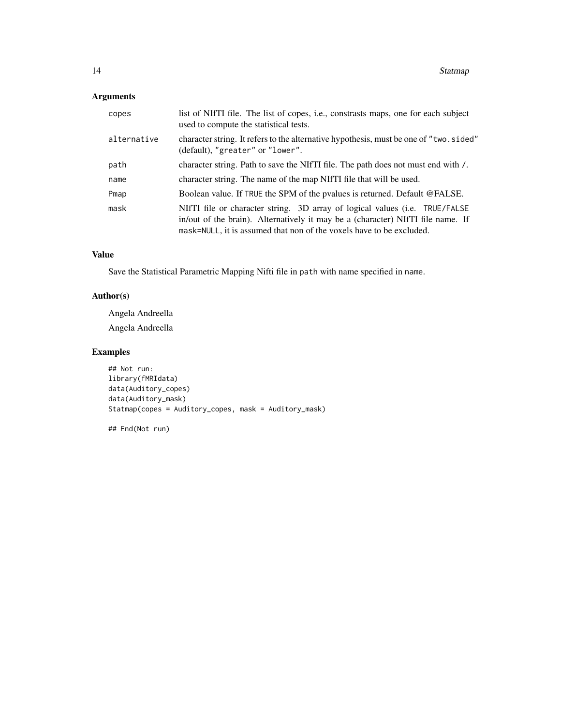| copes       | list of NIfTI file. The list of copes, i.e., constrasts maps, one for each subject<br>used to compute the statistical tests.                                                                                                           |
|-------------|----------------------------------------------------------------------------------------------------------------------------------------------------------------------------------------------------------------------------------------|
| alternative | character string. It refers to the alternative hypothesis, must be one of "two.sided"<br>(default), "greater" or "lower".                                                                                                              |
| path        | character string. Path to save the NIfTI file. The path does not must end with /.                                                                                                                                                      |
| name        | character string. The name of the map NIfTI file that will be used.                                                                                                                                                                    |
| Pmap        | Boolean value. If TRUE the SPM of the pvalues is returned. Default @FALSE.                                                                                                                                                             |
| mask        | NITTI file or character string. 3D array of logical values (i.e. TRUE/FALSE<br>in/out of the brain). Alternatively it may be a (character) NIfTI file name. If<br>mask=NULL, it is assumed that non of the voxels have to be excluded. |

# Value

Save the Statistical Parametric Mapping Nifti file in path with name specified in name.

# Author(s)

Angela Andreella Angela Andreella

# Examples

```
## Not run:
library(fMRIdata)
data(Auditory_copes)
data(Auditory_mask)
Statmap(copes = Auditory_copes, mask = Auditory_mask)
```
## End(Not run)